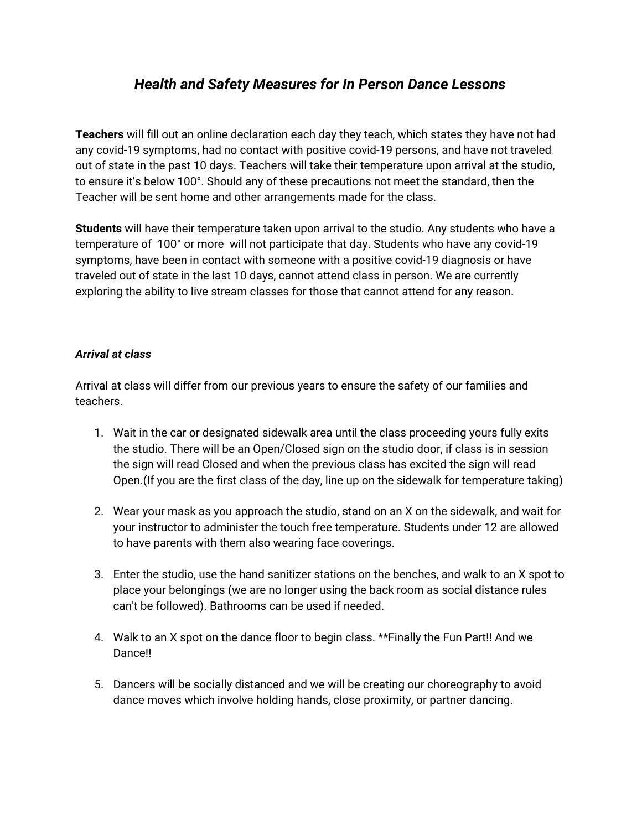# *Health and Safety Measures for In Person Dance Lessons*

**Teachers** will fill out an online declaration each day they teach, which states they have not had any covid-19 symptoms, had no contact with positive covid-19 persons, and have not traveled out of state in the past 10 days. Teachers will take their temperature upon arrival at the studio, to ensure it's below 100°. Should any of these precautions not meet the standard, then the Teacher will be sent home and other arrangements made for the class.

**Students** will have their temperature taken upon arrival to the studio. Any students who have a temperature of 100° or more will not participate that day. Students who have any covid-19 symptoms, have been in contact with someone with a positive covid-19 diagnosis or have traveled out of state in the last 10 days, cannot attend class in person. We are currently exploring the ability to live stream classes for those that cannot attend for any reason.

### *Arrival at class*

Arrival at class will differ from our previous years to ensure the safety of our families and teachers.

- 1. Wait in the car or designated sidewalk area until the class proceeding yours fully exits the studio. There will be an Open/Closed sign on the studio door, if class is in session the sign will read Closed and when the previous class has excited the sign will read Open.(If you are the first class of the day, line up on the sidewalk for temperature taking)
- 2. Wear your mask as you approach the studio, stand on an X on the sidewalk, and wait for your instructor to administer the touch free temperature. Students under 12 are allowed to have parents with them also wearing face coverings.
- 3. Enter the studio, use the hand sanitizer stations on the benches, and walk to an X spot to place your belongings (we are no longer using the back room as social distance rules can't be followed). Bathrooms can be used if needed.
- 4. Walk to an X spot on the dance floor to begin class. \*\*Finally the Fun Part!! And we Dance!!
- 5. Dancers will be socially distanced and we will be creating our choreography to avoid dance moves which involve holding hands, close proximity, or partner dancing.